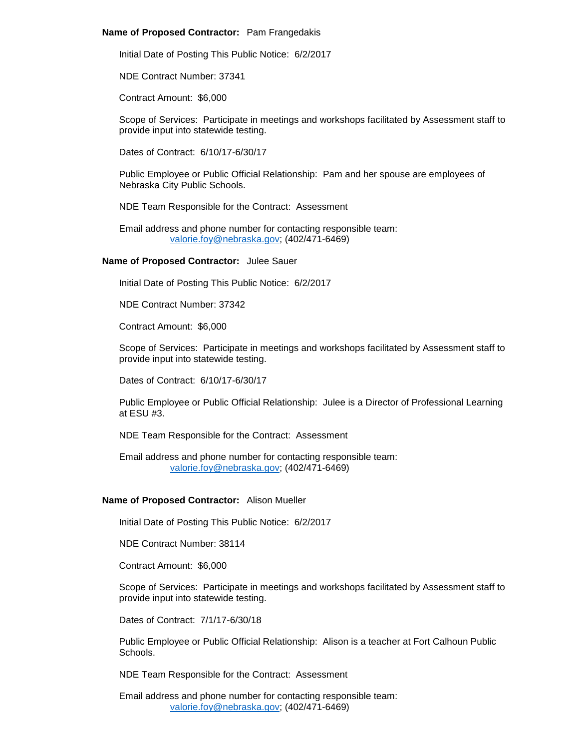## **Name of Proposed Contractor:** Pam Frangedakis

Initial Date of Posting This Public Notice: 6/2/2017

NDE Contract Number: 37341

Contract Amount: \$6,000

Scope of Services: Participate in meetings and workshops facilitated by Assessment staff to provide input into statewide testing.

Dates of Contract: 6/10/17-6/30/17

Public Employee or Public Official Relationship: Pam and her spouse are employees of Nebraska City Public Schools.

NDE Team Responsible for the Contract: Assessment

Email address and phone number for contacting responsible team: [valorie.foy@nebraska.gov;](mailto:valorie.foy@nebraska.gov) (402/471-6469)

## **Name of Proposed Contractor:** Julee Sauer

Initial Date of Posting This Public Notice: 6/2/2017

NDE Contract Number: 37342

Contract Amount: \$6,000

Scope of Services: Participate in meetings and workshops facilitated by Assessment staff to provide input into statewide testing.

Dates of Contract: 6/10/17-6/30/17

Public Employee or Public Official Relationship: Julee is a Director of Professional Learning at ESU #3.

NDE Team Responsible for the Contract: Assessment

Email address and phone number for contacting responsible team: [valorie.foy@nebraska.gov;](mailto:valorie.foy@nebraska.gov) (402/471-6469)

## **Name of Proposed Contractor:** Alison Mueller

Initial Date of Posting This Public Notice: 6/2/2017

NDE Contract Number: 38114

Contract Amount: \$6,000

Scope of Services: Participate in meetings and workshops facilitated by Assessment staff to provide input into statewide testing.

Dates of Contract: 7/1/17-6/30/18

Public Employee or Public Official Relationship: Alison is a teacher at Fort Calhoun Public Schools.

NDE Team Responsible for the Contract: Assessment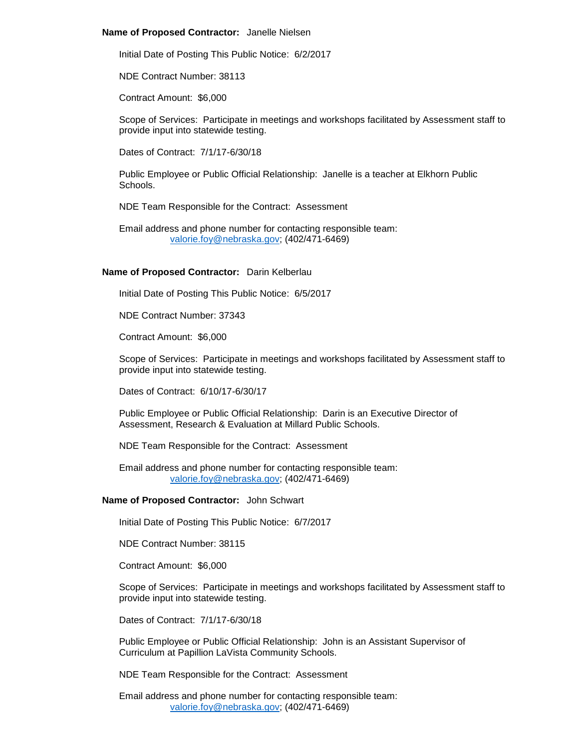### **Name of Proposed Contractor:** Janelle Nielsen

Initial Date of Posting This Public Notice: 6/2/2017

NDE Contract Number: 38113

Contract Amount: \$6,000

Scope of Services: Participate in meetings and workshops facilitated by Assessment staff to provide input into statewide testing.

Dates of Contract: 7/1/17-6/30/18

Public Employee or Public Official Relationship: Janelle is a teacher at Elkhorn Public Schools.

NDE Team Responsible for the Contract: Assessment

Email address and phone number for contacting responsible team: [valorie.foy@nebraska.gov;](mailto:valorie.foy@nebraska.gov) (402/471-6469)

#### **Name of Proposed Contractor:** Darin Kelberlau

Initial Date of Posting This Public Notice: 6/5/2017

NDE Contract Number: 37343

Contract Amount: \$6,000

Scope of Services: Participate in meetings and workshops facilitated by Assessment staff to provide input into statewide testing.

Dates of Contract: 6/10/17-6/30/17

Public Employee or Public Official Relationship: Darin is an Executive Director of Assessment, Research & Evaluation at Millard Public Schools.

NDE Team Responsible for the Contract: Assessment

Email address and phone number for contacting responsible team: [valorie.foy@nebraska.gov;](mailto:valorie.foy@nebraska.gov) (402/471-6469)

## **Name of Proposed Contractor:** John Schwart

Initial Date of Posting This Public Notice: 6/7/2017

NDE Contract Number: 38115

Contract Amount: \$6,000

Scope of Services: Participate in meetings and workshops facilitated by Assessment staff to provide input into statewide testing.

Dates of Contract: 7/1/17-6/30/18

Public Employee or Public Official Relationship: John is an Assistant Supervisor of Curriculum at Papillion LaVista Community Schools.

NDE Team Responsible for the Contract: Assessment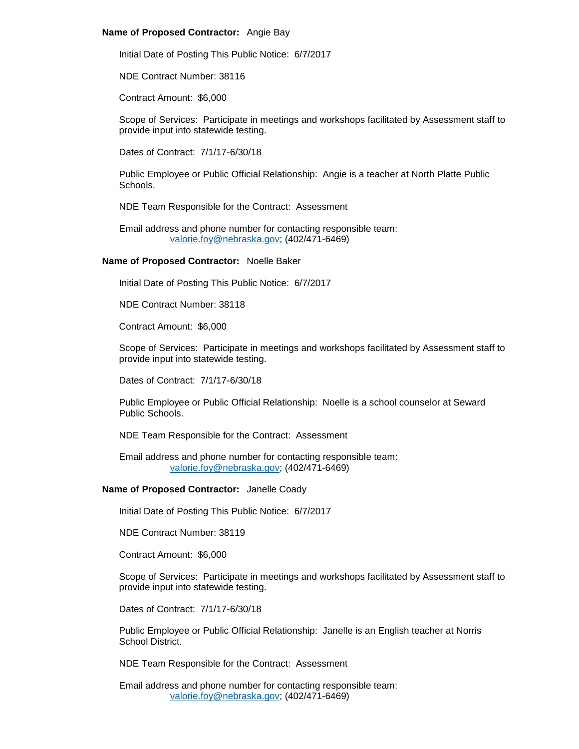## **Name of Proposed Contractor:** Angie Bay

Initial Date of Posting This Public Notice: 6/7/2017

NDE Contract Number: 38116

Contract Amount: \$6,000

Scope of Services: Participate in meetings and workshops facilitated by Assessment staff to provide input into statewide testing.

Dates of Contract: 7/1/17-6/30/18

Public Employee or Public Official Relationship: Angie is a teacher at North Platte Public Schools.

NDE Team Responsible for the Contract: Assessment

Email address and phone number for contacting responsible team: [valorie.foy@nebraska.gov;](mailto:valorie.foy@nebraska.gov) (402/471-6469)

## **Name of Proposed Contractor:** Noelle Baker

Initial Date of Posting This Public Notice: 6/7/2017

NDE Contract Number: 38118

Contract Amount: \$6,000

Scope of Services: Participate in meetings and workshops facilitated by Assessment staff to provide input into statewide testing.

Dates of Contract: 7/1/17-6/30/18

Public Employee or Public Official Relationship: Noelle is a school counselor at Seward Public Schools.

NDE Team Responsible for the Contract: Assessment

Email address and phone number for contacting responsible team: [valorie.foy@nebraska.gov;](mailto:valorie.foy@nebraska.gov) (402/471-6469)

# **Name of Proposed Contractor:** Janelle Coady

Initial Date of Posting This Public Notice: 6/7/2017

NDE Contract Number: 38119

Contract Amount: \$6,000

Scope of Services: Participate in meetings and workshops facilitated by Assessment staff to provide input into statewide testing.

Dates of Contract: 7/1/17-6/30/18

Public Employee or Public Official Relationship: Janelle is an English teacher at Norris School District.

NDE Team Responsible for the Contract: Assessment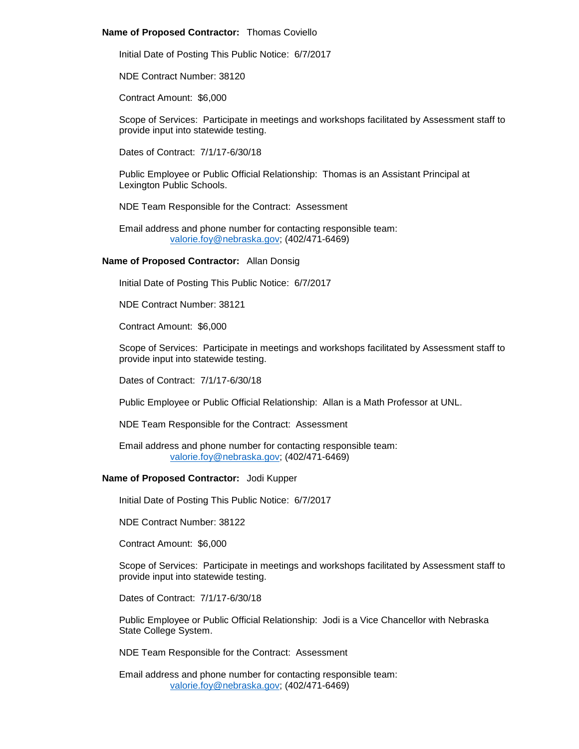## **Name of Proposed Contractor:** Thomas Coviello

Initial Date of Posting This Public Notice: 6/7/2017

NDE Contract Number: 38120

Contract Amount: \$6,000

Scope of Services: Participate in meetings and workshops facilitated by Assessment staff to provide input into statewide testing.

Dates of Contract: 7/1/17-6/30/18

Public Employee or Public Official Relationship: Thomas is an Assistant Principal at Lexington Public Schools.

NDE Team Responsible for the Contract: Assessment

Email address and phone number for contacting responsible team: [valorie.foy@nebraska.gov;](mailto:valorie.foy@nebraska.gov) (402/471-6469)

## **Name of Proposed Contractor:** Allan Donsig

Initial Date of Posting This Public Notice: 6/7/2017

NDE Contract Number: 38121

Contract Amount: \$6,000

Scope of Services: Participate in meetings and workshops facilitated by Assessment staff to provide input into statewide testing.

Dates of Contract: 7/1/17-6/30/18

Public Employee or Public Official Relationship: Allan is a Math Professor at UNL.

NDE Team Responsible for the Contract: Assessment

Email address and phone number for contacting responsible team: [valorie.foy@nebraska.gov;](mailto:valorie.foy@nebraska.gov) (402/471-6469)

## **Name of Proposed Contractor:** Jodi Kupper

Initial Date of Posting This Public Notice: 6/7/2017

NDE Contract Number: 38122

Contract Amount: \$6,000

Scope of Services: Participate in meetings and workshops facilitated by Assessment staff to provide input into statewide testing.

Dates of Contract: 7/1/17-6/30/18

Public Employee or Public Official Relationship: Jodi is a Vice Chancellor with Nebraska State College System.

NDE Team Responsible for the Contract: Assessment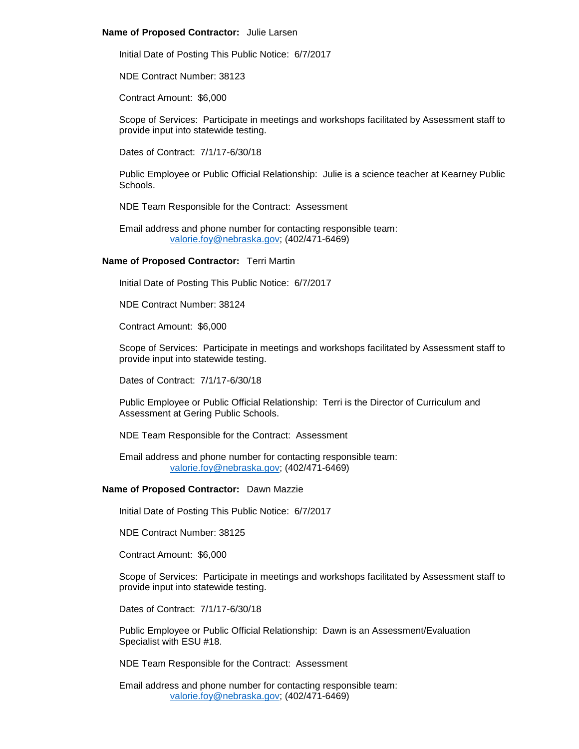## **Name of Proposed Contractor:** Julie Larsen

Initial Date of Posting This Public Notice: 6/7/2017

NDE Contract Number: 38123

Contract Amount: \$6,000

Scope of Services: Participate in meetings and workshops facilitated by Assessment staff to provide input into statewide testing.

Dates of Contract: 7/1/17-6/30/18

Public Employee or Public Official Relationship: Julie is a science teacher at Kearney Public Schools.

NDE Team Responsible for the Contract: Assessment

Email address and phone number for contacting responsible team: [valorie.foy@nebraska.gov;](mailto:valorie.foy@nebraska.gov) (402/471-6469)

## **Name of Proposed Contractor:** Terri Martin

Initial Date of Posting This Public Notice: 6/7/2017

NDE Contract Number: 38124

Contract Amount: \$6,000

Scope of Services: Participate in meetings and workshops facilitated by Assessment staff to provide input into statewide testing.

Dates of Contract: 7/1/17-6/30/18

Public Employee or Public Official Relationship: Terri is the Director of Curriculum and Assessment at Gering Public Schools.

NDE Team Responsible for the Contract: Assessment

Email address and phone number for contacting responsible team: [valorie.foy@nebraska.gov;](mailto:valorie.foy@nebraska.gov) (402/471-6469)

## **Name of Proposed Contractor:** Dawn Mazzie

Initial Date of Posting This Public Notice: 6/7/2017

NDE Contract Number: 38125

Contract Amount: \$6,000

Scope of Services: Participate in meetings and workshops facilitated by Assessment staff to provide input into statewide testing.

Dates of Contract: 7/1/17-6/30/18

Public Employee or Public Official Relationship: Dawn is an Assessment/Evaluation Specialist with ESU #18.

NDE Team Responsible for the Contract: Assessment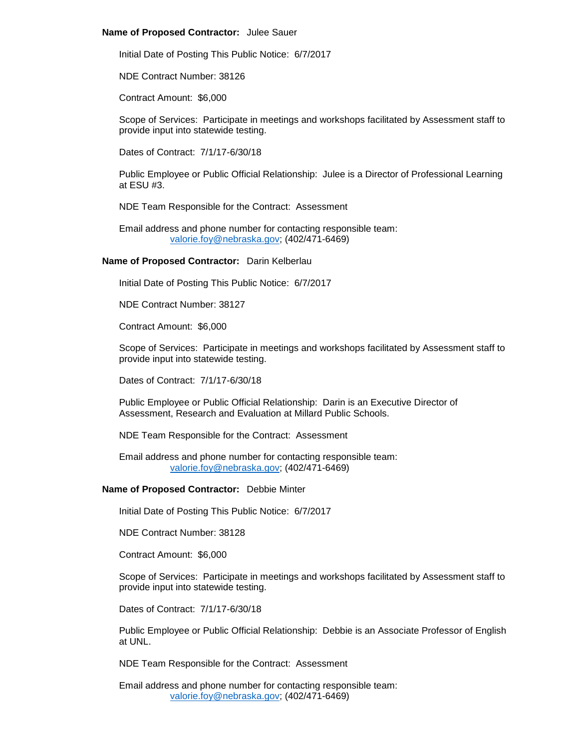### **Name of Proposed Contractor:** Julee Sauer

Initial Date of Posting This Public Notice: 6/7/2017

NDE Contract Number: 38126

Contract Amount: \$6,000

Scope of Services: Participate in meetings and workshops facilitated by Assessment staff to provide input into statewide testing.

Dates of Contract: 7/1/17-6/30/18

Public Employee or Public Official Relationship: Julee is a Director of Professional Learning at ESU #3.

NDE Team Responsible for the Contract: Assessment

Email address and phone number for contacting responsible team: [valorie.foy@nebraska.gov;](mailto:valorie.foy@nebraska.gov) (402/471-6469)

#### **Name of Proposed Contractor:** Darin Kelberlau

Initial Date of Posting This Public Notice: 6/7/2017

NDE Contract Number: 38127

Contract Amount: \$6,000

Scope of Services: Participate in meetings and workshops facilitated by Assessment staff to provide input into statewide testing.

Dates of Contract: 7/1/17-6/30/18

Public Employee or Public Official Relationship: Darin is an Executive Director of Assessment, Research and Evaluation at Millard Public Schools.

NDE Team Responsible for the Contract: Assessment

Email address and phone number for contacting responsible team: [valorie.foy@nebraska.gov;](mailto:valorie.foy@nebraska.gov) (402/471-6469)

#### **Name of Proposed Contractor:** Debbie Minter

Initial Date of Posting This Public Notice: 6/7/2017

NDE Contract Number: 38128

Contract Amount: \$6,000

Scope of Services: Participate in meetings and workshops facilitated by Assessment staff to provide input into statewide testing.

Dates of Contract: 7/1/17-6/30/18

Public Employee or Public Official Relationship: Debbie is an Associate Professor of English at UNL.

NDE Team Responsible for the Contract: Assessment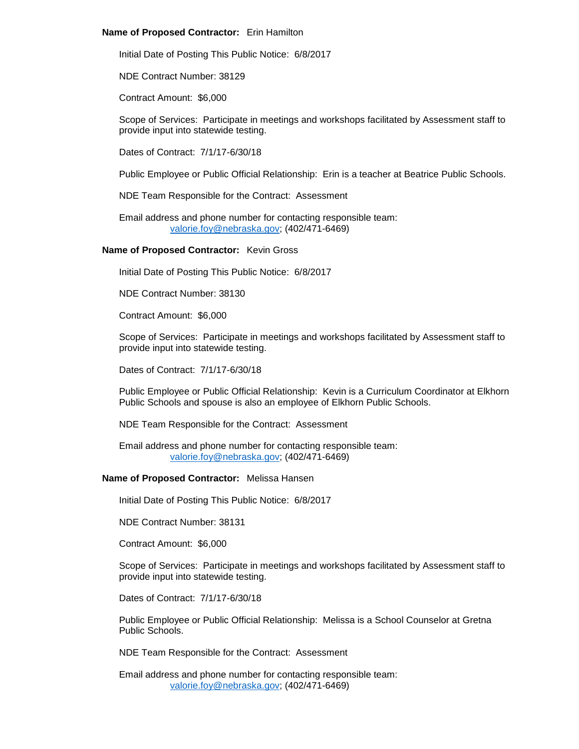## **Name of Proposed Contractor:** Erin Hamilton

Initial Date of Posting This Public Notice: 6/8/2017

NDE Contract Number: 38129

Contract Amount: \$6,000

Scope of Services: Participate in meetings and workshops facilitated by Assessment staff to provide input into statewide testing.

Dates of Contract: 7/1/17-6/30/18

Public Employee or Public Official Relationship: Erin is a teacher at Beatrice Public Schools.

NDE Team Responsible for the Contract: Assessment

Email address and phone number for contacting responsible team: [valorie.foy@nebraska.gov;](mailto:valorie.foy@nebraska.gov) (402/471-6469)

# **Name of Proposed Contractor:** Kevin Gross

Initial Date of Posting This Public Notice: 6/8/2017

NDE Contract Number: 38130

Contract Amount: \$6,000

Scope of Services: Participate in meetings and workshops facilitated by Assessment staff to provide input into statewide testing.

Dates of Contract: 7/1/17-6/30/18

Public Employee or Public Official Relationship: Kevin is a Curriculum Coordinator at Elkhorn Public Schools and spouse is also an employee of Elkhorn Public Schools.

NDE Team Responsible for the Contract: Assessment

Email address and phone number for contacting responsible team: [valorie.foy@nebraska.gov;](mailto:valorie.foy@nebraska.gov) (402/471-6469)

# **Name of Proposed Contractor:** Melissa Hansen

Initial Date of Posting This Public Notice: 6/8/2017

NDE Contract Number: 38131

Contract Amount: \$6,000

Scope of Services: Participate in meetings and workshops facilitated by Assessment staff to provide input into statewide testing.

Dates of Contract: 7/1/17-6/30/18

Public Employee or Public Official Relationship: Melissa is a School Counselor at Gretna Public Schools.

NDE Team Responsible for the Contract: Assessment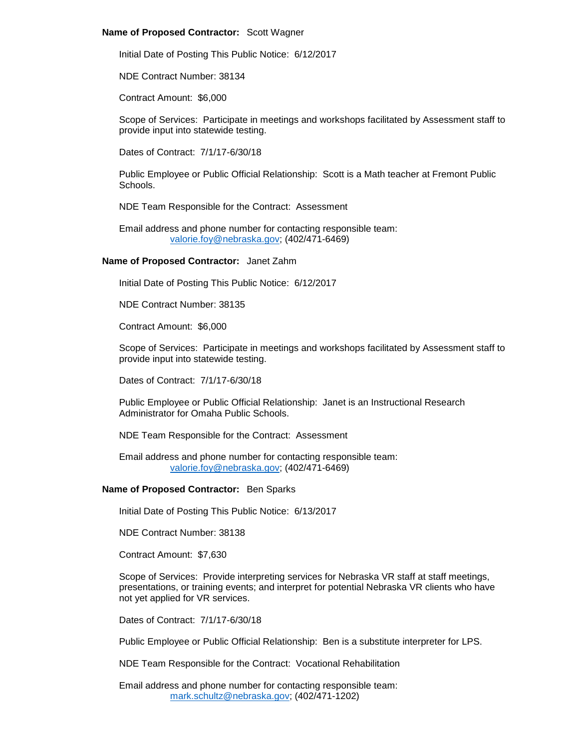## **Name of Proposed Contractor:** Scott Wagner

Initial Date of Posting This Public Notice: 6/12/2017

NDE Contract Number: 38134

Contract Amount: \$6,000

Scope of Services: Participate in meetings and workshops facilitated by Assessment staff to provide input into statewide testing.

Dates of Contract: 7/1/17-6/30/18

Public Employee or Public Official Relationship: Scott is a Math teacher at Fremont Public Schools.

NDE Team Responsible for the Contract: Assessment

Email address and phone number for contacting responsible team: [valorie.foy@nebraska.gov;](mailto:valorie.foy@nebraska.gov) (402/471-6469)

## **Name of Proposed Contractor:** Janet Zahm

Initial Date of Posting This Public Notice: 6/12/2017

NDE Contract Number: 38135

Contract Amount: \$6,000

Scope of Services: Participate in meetings and workshops facilitated by Assessment staff to provide input into statewide testing.

Dates of Contract: 7/1/17-6/30/18

Public Employee or Public Official Relationship: Janet is an Instructional Research Administrator for Omaha Public Schools.

NDE Team Responsible for the Contract: Assessment

Email address and phone number for contacting responsible team: [valorie.foy@nebraska.gov;](mailto:valorie.foy@nebraska.gov) (402/471-6469)

## **Name of Proposed Contractor:** Ben Sparks

Initial Date of Posting This Public Notice: 6/13/2017

NDE Contract Number: 38138

Contract Amount: \$7,630

Scope of Services: Provide interpreting services for Nebraska VR staff at staff meetings, presentations, or training events; and interpret for potential Nebraska VR clients who have not yet applied for VR services.

Dates of Contract: 7/1/17-6/30/18

Public Employee or Public Official Relationship: Ben is a substitute interpreter for LPS.

NDE Team Responsible for the Contract: Vocational Rehabilitation

Email address and phone number for contacting responsible team: [mark.schultz@nebraska.gov;](mailto:mark.schultz@nebraska.gov) (402/471-1202)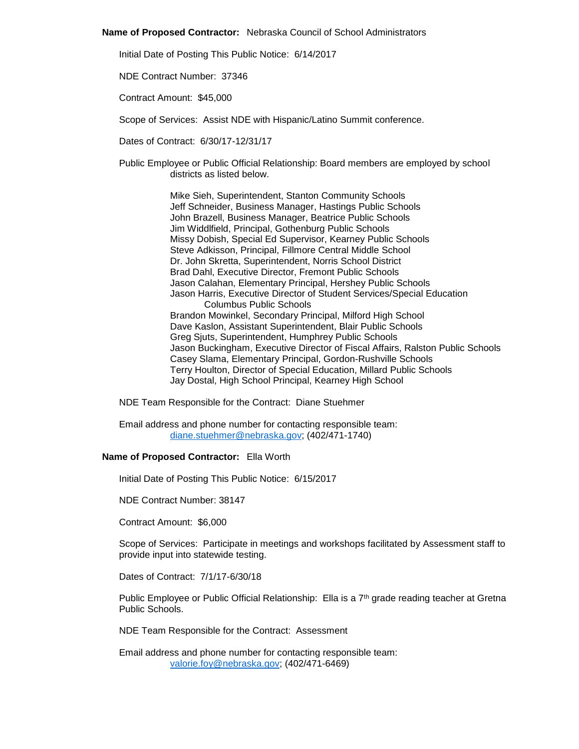**Name of Proposed Contractor:** Nebraska Council of School Administrators

Initial Date of Posting This Public Notice: 6/14/2017

NDE Contract Number: 37346

Contract Amount: \$45,000

Scope of Services: Assist NDE with Hispanic/Latino Summit conference.

Dates of Contract: 6/30/17-12/31/17

Public Employee or Public Official Relationship: Board members are employed by school districts as listed below.

> Mike Sieh, Superintendent, Stanton Community Schools Jeff Schneider, Business Manager, Hastings Public Schools John Brazell, Business Manager, Beatrice Public Schools Jim Widdlfield, Principal, Gothenburg Public Schools Missy Dobish, Special Ed Supervisor, Kearney Public Schools Steve Adkisson, Principal, Fillmore Central Middle School Dr. John Skretta, Superintendent, Norris School District Brad Dahl, Executive Director, Fremont Public Schools Jason Calahan, Elementary Principal, Hershey Public Schools Jason Harris, Executive Director of Student Services/Special Education Columbus Public Schools Brandon Mowinkel, Secondary Principal, Milford High School Dave Kaslon, Assistant Superintendent, Blair Public Schools Greg Sjuts, Superintendent, Humphrey Public Schools Jason Buckingham, Executive Director of Fiscal Affairs, Ralston Public Schools Casey Slama, Elementary Principal, Gordon-Rushville Schools Terry Houlton, Director of Special Education, Millard Public Schools Jay Dostal, High School Principal, Kearney High School

NDE Team Responsible for the Contract: Diane Stuehmer

Email address and phone number for contacting responsible team: [diane.stuehmer@nebraska.gov;](mailto:diane.stuehmer@nebraska.gov) (402/471-1740)

## **Name of Proposed Contractor:** Ella Worth

Initial Date of Posting This Public Notice: 6/15/2017

NDE Contract Number: 38147

Contract Amount: \$6,000

Scope of Services: Participate in meetings and workshops facilitated by Assessment staff to provide input into statewide testing.

Dates of Contract: 7/1/17-6/30/18

Public Employee or Public Official Relationship: Ella is a 7<sup>th</sup> grade reading teacher at Gretna Public Schools.

NDE Team Responsible for the Contract: Assessment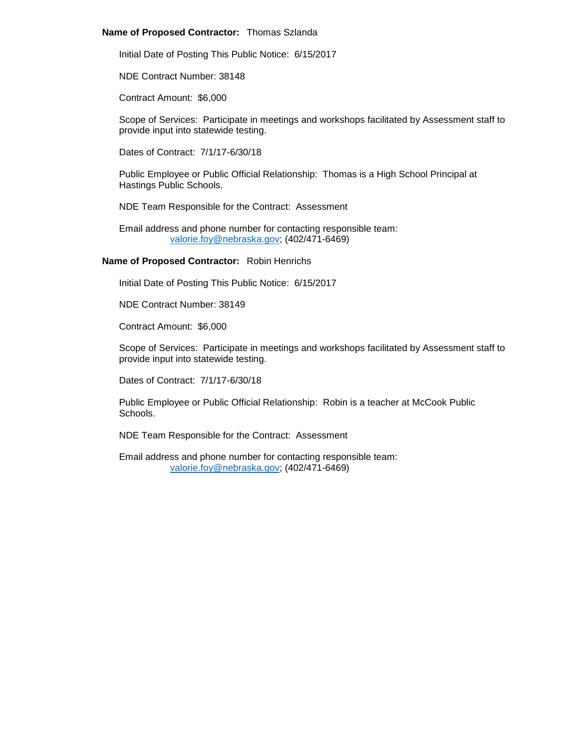## **Name of Proposed Contractor:** Thomas Szlanda

Initial Date of Posting This Public Notice: 6/15/2017

NDE Contract Number: 38148

Contract Amount: \$6,000

Scope of Services: Participate in meetings and workshops facilitated by Assessment staff to provide input into statewide testing.

Dates of Contract: 7/1/17-6/30/18

Public Employee or Public Official Relationship: Thomas is a High School Principal at Hastings Public Schools.

NDE Team Responsible for the Contract: Assessment

Email address and phone number for contacting responsible team: [valorie.foy@nebraska.gov;](mailto:valorie.foy@nebraska.gov) (402/471-6469)

## **Name of Proposed Contractor:** Robin Henrichs

Initial Date of Posting This Public Notice: 6/15/2017

NDE Contract Number: 38149

Contract Amount: \$6,000

Scope of Services: Participate in meetings and workshops facilitated by Assessment staff to provide input into statewide testing.

Dates of Contract: 7/1/17-6/30/18

Public Employee or Public Official Relationship: Robin is a teacher at McCook Public Schools.

NDE Team Responsible for the Contract: Assessment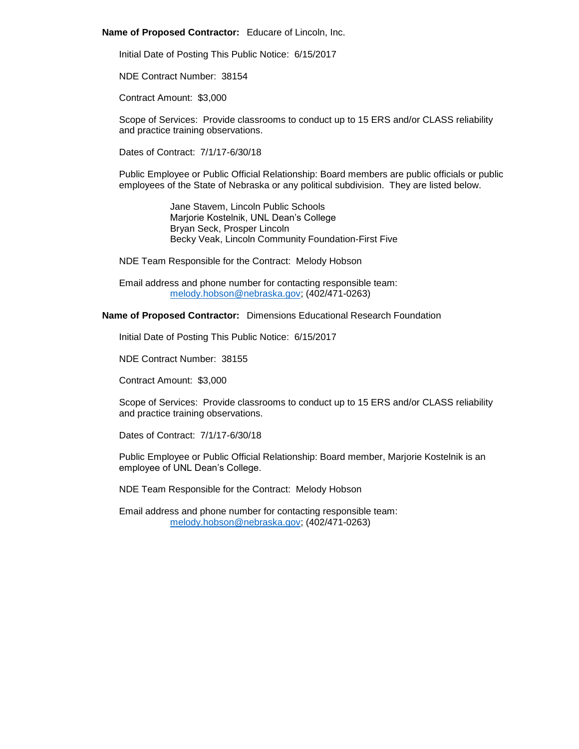### **Name of Proposed Contractor:** Educare of Lincoln, Inc.

Initial Date of Posting This Public Notice: 6/15/2017

NDE Contract Number: 38154

Contract Amount: \$3,000

Scope of Services: Provide classrooms to conduct up to 15 ERS and/or CLASS reliability and practice training observations.

Dates of Contract: 7/1/17-6/30/18

Public Employee or Public Official Relationship: Board members are public officials or public employees of the State of Nebraska or any political subdivision. They are listed below.

> Jane Stavem, Lincoln Public Schools Marjorie Kostelnik, UNL Dean's College Bryan Seck, Prosper Lincoln Becky Veak, Lincoln Community Foundation-First Five

NDE Team Responsible for the Contract: Melody Hobson

Email address and phone number for contacting responsible team: [melody.hobson@nebraska.gov;](mailto:melody.hobson@nebraska.gov) (402/471-0263)

**Name of Proposed Contractor:** Dimensions Educational Research Foundation

Initial Date of Posting This Public Notice: 6/15/2017

NDE Contract Number: 38155

Contract Amount: \$3,000

Scope of Services: Provide classrooms to conduct up to 15 ERS and/or CLASS reliability and practice training observations.

Dates of Contract: 7/1/17-6/30/18

Public Employee or Public Official Relationship: Board member, Marjorie Kostelnik is an employee of UNL Dean's College.

NDE Team Responsible for the Contract: Melody Hobson

Email address and phone number for contacting responsible team: [melody.hobson@nebraska.gov;](mailto:melody.hobson@nebraska.gov) (402/471-0263)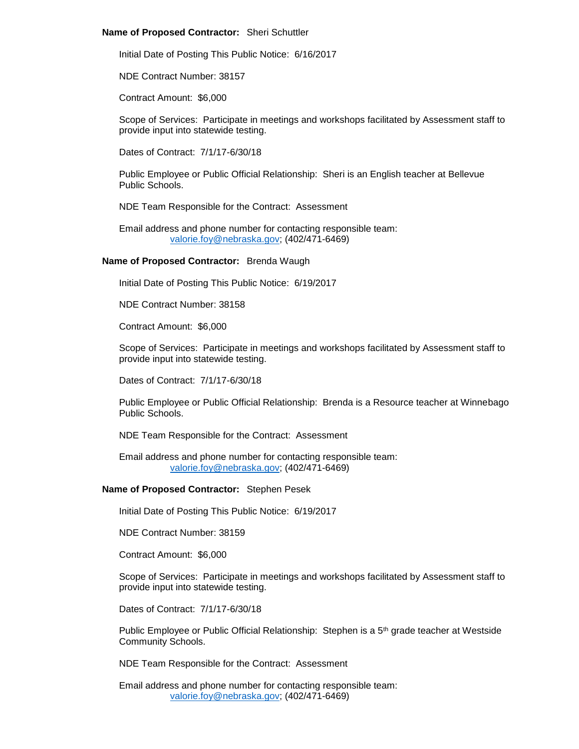## **Name of Proposed Contractor:** Sheri Schuttler

Initial Date of Posting This Public Notice: 6/16/2017

NDE Contract Number: 38157

Contract Amount: \$6,000

Scope of Services: Participate in meetings and workshops facilitated by Assessment staff to provide input into statewide testing.

Dates of Contract: 7/1/17-6/30/18

Public Employee or Public Official Relationship: Sheri is an English teacher at Bellevue Public Schools.

NDE Team Responsible for the Contract: Assessment

Email address and phone number for contacting responsible team: [valorie.foy@nebraska.gov;](mailto:valorie.foy@nebraska.gov) (402/471-6469)

## **Name of Proposed Contractor:** Brenda Waugh

Initial Date of Posting This Public Notice: 6/19/2017

NDE Contract Number: 38158

Contract Amount: \$6,000

Scope of Services: Participate in meetings and workshops facilitated by Assessment staff to provide input into statewide testing.

Dates of Contract: 7/1/17-6/30/18

Public Employee or Public Official Relationship: Brenda is a Resource teacher at Winnebago Public Schools.

NDE Team Responsible for the Contract: Assessment

Email address and phone number for contacting responsible team: [valorie.foy@nebraska.gov;](mailto:valorie.foy@nebraska.gov) (402/471-6469)

## **Name of Proposed Contractor:** Stephen Pesek

Initial Date of Posting This Public Notice: 6/19/2017

NDE Contract Number: 38159

Contract Amount: \$6,000

Scope of Services: Participate in meetings and workshops facilitated by Assessment staff to provide input into statewide testing.

Dates of Contract: 7/1/17-6/30/18

Public Employee or Public Official Relationship: Stephen is a 5<sup>th</sup> grade teacher at Westside Community Schools.

NDE Team Responsible for the Contract: Assessment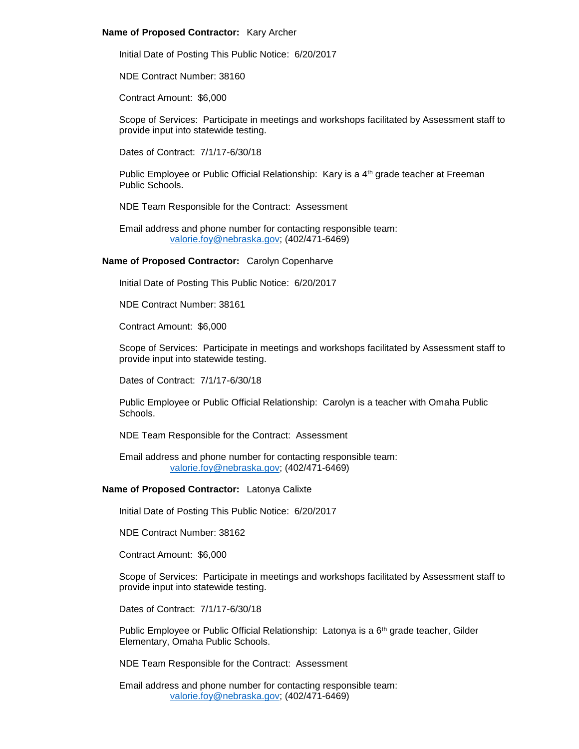### **Name of Proposed Contractor:** Kary Archer

Initial Date of Posting This Public Notice: 6/20/2017

NDE Contract Number: 38160

Contract Amount: \$6,000

Scope of Services: Participate in meetings and workshops facilitated by Assessment staff to provide input into statewide testing.

Dates of Contract: 7/1/17-6/30/18

Public Employee or Public Official Relationship: Kary is a 4<sup>th</sup> grade teacher at Freeman Public Schools.

NDE Team Responsible for the Contract: Assessment

Email address and phone number for contacting responsible team: [valorie.foy@nebraska.gov;](mailto:valorie.foy@nebraska.gov) (402/471-6469)

**Name of Proposed Contractor:** Carolyn Copenharve

Initial Date of Posting This Public Notice: 6/20/2017

NDE Contract Number: 38161

Contract Amount: \$6,000

Scope of Services: Participate in meetings and workshops facilitated by Assessment staff to provide input into statewide testing.

Dates of Contract: 7/1/17-6/30/18

Public Employee or Public Official Relationship: Carolyn is a teacher with Omaha Public **Schools** 

NDE Team Responsible for the Contract: Assessment

Email address and phone number for contacting responsible team: [valorie.foy@nebraska.gov;](mailto:valorie.foy@nebraska.gov) (402/471-6469)

## **Name of Proposed Contractor:** Latonya Calixte

Initial Date of Posting This Public Notice: 6/20/2017

NDE Contract Number: 38162

Contract Amount: \$6,000

Scope of Services: Participate in meetings and workshops facilitated by Assessment staff to provide input into statewide testing.

Dates of Contract: 7/1/17-6/30/18

Public Employee or Public Official Relationship: Latonya is a  $6<sup>th</sup>$  grade teacher, Gilder Elementary, Omaha Public Schools.

NDE Team Responsible for the Contract: Assessment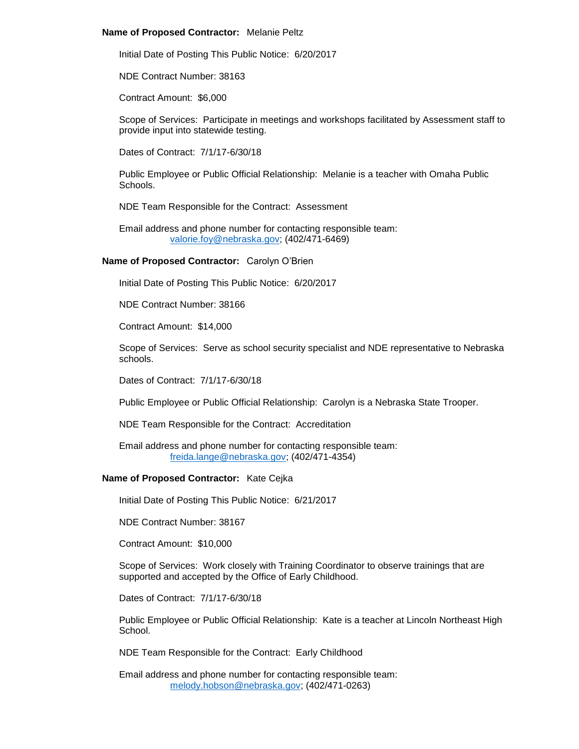## **Name of Proposed Contractor:** Melanie Peltz

Initial Date of Posting This Public Notice: 6/20/2017

NDE Contract Number: 38163

Contract Amount: \$6,000

Scope of Services: Participate in meetings and workshops facilitated by Assessment staff to provide input into statewide testing.

Dates of Contract: 7/1/17-6/30/18

Public Employee or Public Official Relationship: Melanie is a teacher with Omaha Public Schools.

NDE Team Responsible for the Contract: Assessment

Email address and phone number for contacting responsible team: [valorie.foy@nebraska.gov;](mailto:valorie.foy@nebraska.gov) (402/471-6469)

## **Name of Proposed Contractor:** Carolyn O'Brien

Initial Date of Posting This Public Notice: 6/20/2017

NDE Contract Number: 38166

Contract Amount: \$14,000

Scope of Services: Serve as school security specialist and NDE representative to Nebraska schools.

Dates of Contract: 7/1/17-6/30/18

Public Employee or Public Official Relationship: Carolyn is a Nebraska State Trooper.

NDE Team Responsible for the Contract: Accreditation

Email address and phone number for contacting responsible team: [freida.lange@nebraska.gov;](mailto:freida.lange@nebraska.gov) (402/471-4354)

# **Name of Proposed Contractor:** Kate Cejka

Initial Date of Posting This Public Notice: 6/21/2017

NDE Contract Number: 38167

Contract Amount: \$10,000

Scope of Services: Work closely with Training Coordinator to observe trainings that are supported and accepted by the Office of Early Childhood.

Dates of Contract: 7/1/17-6/30/18

Public Employee or Public Official Relationship: Kate is a teacher at Lincoln Northeast High School.

NDE Team Responsible for the Contract: Early Childhood

Email address and phone number for contacting responsible team: [melody.hobson@nebraska.gov;](mailto:melody.hobson@nebraska.gov) (402/471-0263)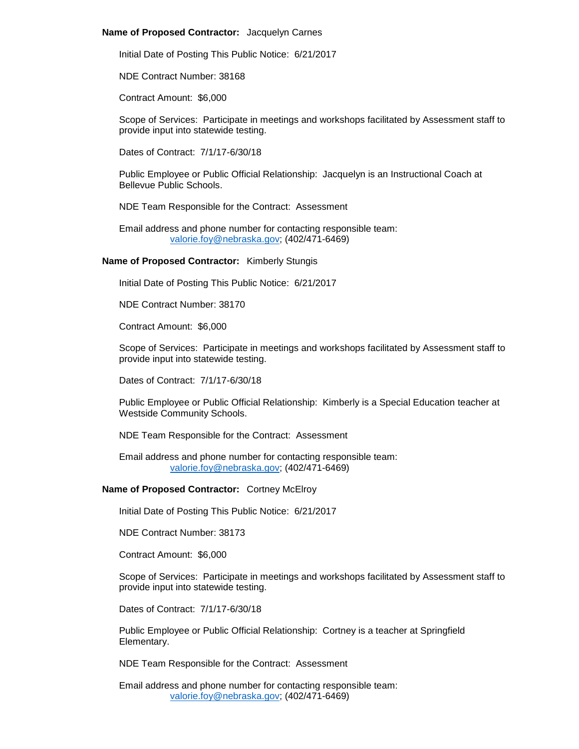## **Name of Proposed Contractor:** Jacquelyn Carnes

Initial Date of Posting This Public Notice: 6/21/2017

NDE Contract Number: 38168

Contract Amount: \$6,000

Scope of Services: Participate in meetings and workshops facilitated by Assessment staff to provide input into statewide testing.

Dates of Contract: 7/1/17-6/30/18

Public Employee or Public Official Relationship: Jacquelyn is an Instructional Coach at Bellevue Public Schools.

NDE Team Responsible for the Contract: Assessment

Email address and phone number for contacting responsible team: [valorie.foy@nebraska.gov;](mailto:valorie.foy@nebraska.gov) (402/471-6469)

## **Name of Proposed Contractor:** Kimberly Stungis

Initial Date of Posting This Public Notice: 6/21/2017

NDE Contract Number: 38170

Contract Amount: \$6,000

Scope of Services: Participate in meetings and workshops facilitated by Assessment staff to provide input into statewide testing.

Dates of Contract: 7/1/17-6/30/18

Public Employee or Public Official Relationship: Kimberly is a Special Education teacher at Westside Community Schools.

NDE Team Responsible for the Contract: Assessment

Email address and phone number for contacting responsible team: [valorie.foy@nebraska.gov;](mailto:valorie.foy@nebraska.gov) (402/471-6469)

# **Name of Proposed Contractor:** Cortney McElroy

Initial Date of Posting This Public Notice: 6/21/2017

NDE Contract Number: 38173

Contract Amount: \$6,000

Scope of Services: Participate in meetings and workshops facilitated by Assessment staff to provide input into statewide testing.

Dates of Contract: 7/1/17-6/30/18

Public Employee or Public Official Relationship: Cortney is a teacher at Springfield Elementary.

NDE Team Responsible for the Contract: Assessment